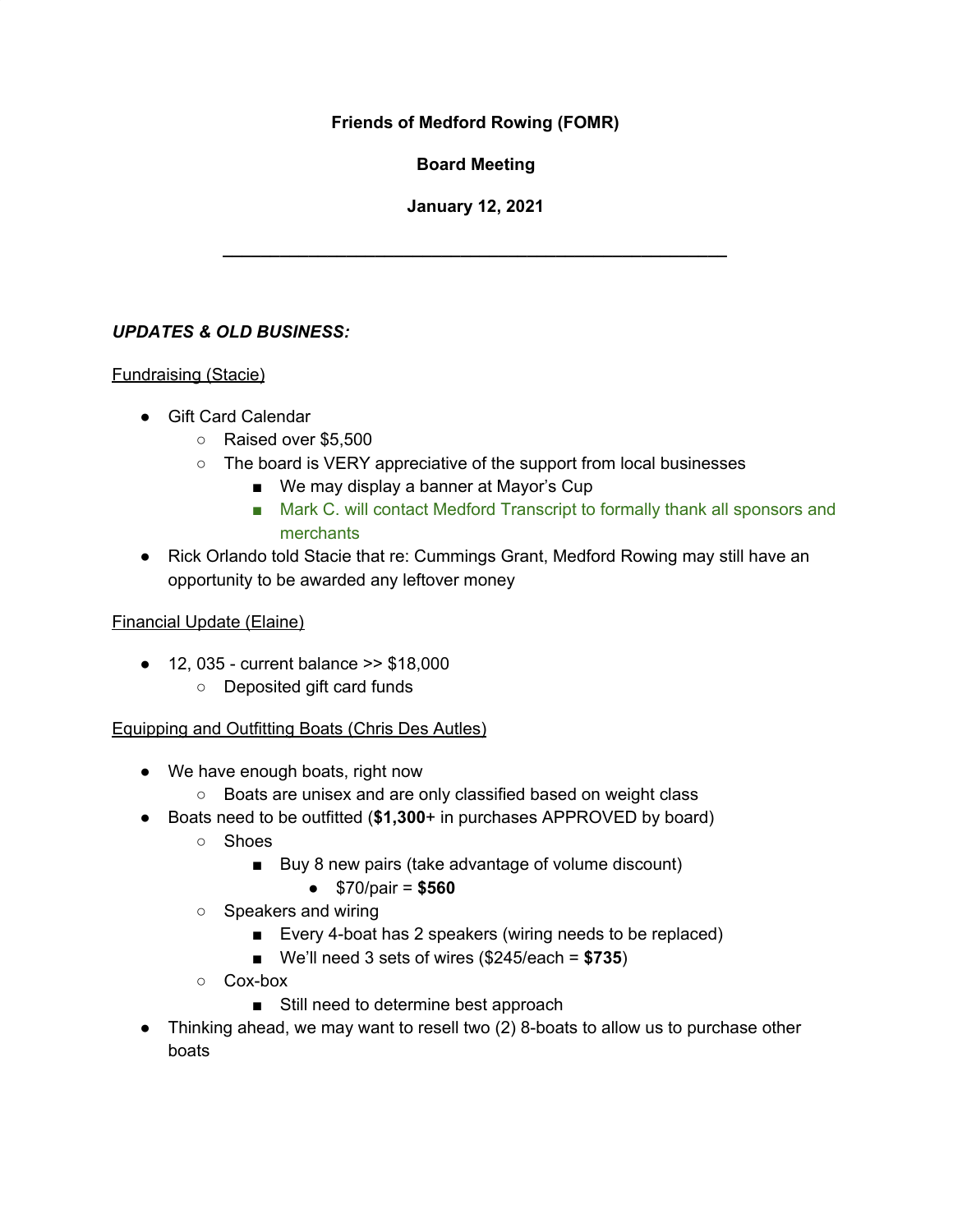## **Friends of Medford Rowing (FOMR)**

**Board Meeting**

## **January 12, 2021**

**\_\_\_\_\_\_\_\_\_\_\_\_\_\_\_\_\_\_\_\_\_\_\_\_\_\_\_\_\_\_\_\_\_\_\_\_\_\_\_\_\_\_\_\_\_\_\_\_\_\_\_\_\_**

# *UPDATES & OLD BUSINESS:*

### Fundraising (Stacie)

- Gift Card Calendar
	- Raised over \$5,500
	- The board is VERY appreciative of the support from local businesses
		- We may display a banner at Mayor's Cup
		- Mark C. will contact Medford Transcript to formally thank all sponsors and merchants
- Rick Orlando told Stacie that re: Cummings Grant, Medford Rowing may still have an opportunity to be awarded any leftover money

#### Financial Update (Elaine)

- 12, 035 current balance >> \$18,000
	- Deposited gift card funds

### Equipping and Outfitting Boats (Chris Des Autles)

- We have enough boats, right now
	- Boats are unisex and are only classified based on weight class
- Boats need to be outfitted (**\$1,300**+ in purchases APPROVED by board)
	- Shoes
		- Buy 8 new pairs (take advantage of volume discount)
			- \$70/pair = **\$560**
	- Speakers and wiring
		- Every 4-boat has 2 speakers (wiring needs to be replaced)
		- We'll need 3 sets of wires (\$245/each = **\$735**)
	- Cox-box
		- Still need to determine best approach
- Thinking ahead, we may want to resell two (2) 8-boats to allow us to purchase other boats